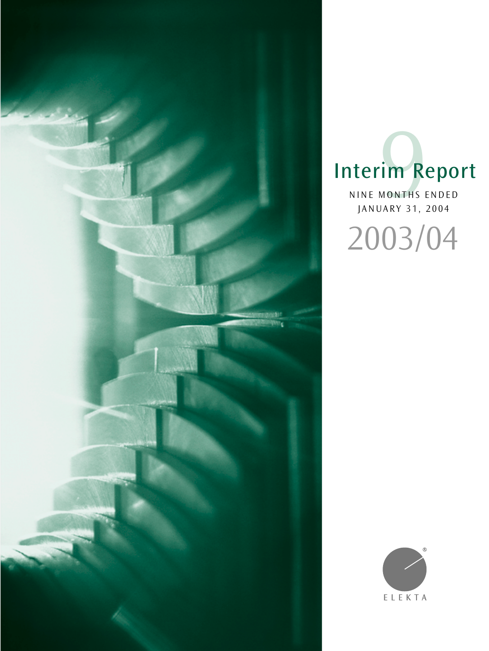

# Interim Report IM<br>
MONTHS E

NINE MONTHS ENDED JANUARY 31, 2004

2003/04

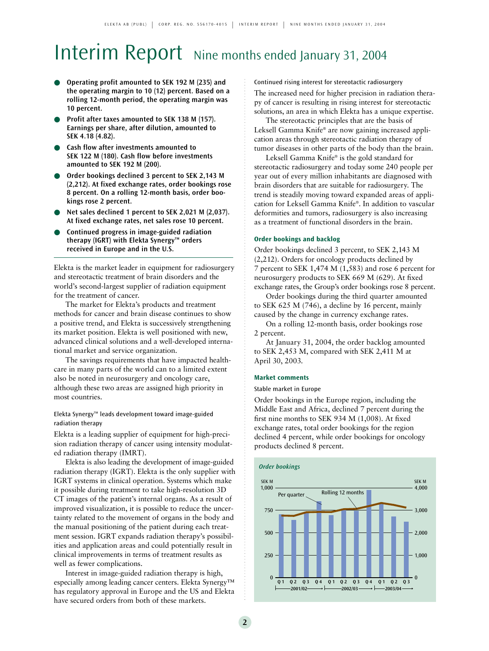## Interim Report Nine months ended January 31, 2004

- **Operating profit amounted to SEK 192 M (235) and the operating margin to 10 (12) percent. Based on a rolling 12-month period, the operating margin was 10 percent.**
- Profit after taxes amounted to SEK 138 M (157). **Earnings per share, after dilution, amounted to SEK 4.18 (4.82).**
- **Cash flow after investments amounted to SEK 122 M (180). Cash flow before investments amounted to SEK 192 M (200).**
- Order bookings declined 3 percent to SEK 2,143 M **(2,212). At fixed exchange rates, order bookings rose 8 percent. On a rolling 12-month basis, order bookings rose 2 percent.**
- **Net sales declined 1 percent to SEK 2,021 M (2,037). At fixed exchange rates, net sales rose 10 percent.**
- **Continued progress in image-guided radiation therapy (IGRT) with Elekta Synergy™ orders received in Europe and in the U.S.**

Elekta is the market leader in equipment for radiosurgery and stereotactic treatment of brain disorders and the world's second-largest supplier of radiation equipment for the treatment of cancer.

The market for Elekta's products and treatment methods for cancer and brain disease continues to show a positive trend, and Elekta is successively strengthening its market position. Elekta is well positioned with new, advanced clinical solutions and a well-developed international market and service organization.

The savings requirements that have impacted healthcare in many parts of the world can to a limited extent also be noted in neurosurgery and oncology care, although these two areas are assigned high priority in most countries.

### Elekta Synergy™ leads development toward image-guided radiation therapy

Elekta is a leading supplier of equipment for high-precision radiation therapy of cancer using intensity modulated radiation therapy (IMRT).

Elekta is also leading the development of image-guided radiation therapy (IGRT). Elekta is the only supplier with IGRT systems in clinical operation. Systems which make it possible during treatment to take high-resolution 3D CT images of the patient's internal organs. As a result of improved visualization, it is possible to reduce the uncertainty related to the movement of organs in the body and the manual positioning of the patient during each treatment session. IGRT expands radiation therapy's possibilities and application areas and could potentially result in clinical improvements in terms of treatment results as well as fewer complications.

Interest in image-guided radiation therapy is high, especially among leading cancer centers. Elekta Synergy™ has regulatory approval in Europe and the US and Elekta have secured orders from both of these markets.

Continued rising interest for stereotactic radiosurgery The increased need for higher precision in radiation therapy of cancer is resulting in rising interest for stereotactic solutions, an area in which Elekta has a unique expertise.

The stereotactic principles that are the basis of Leksell Gamma Knife® are now gaining increased application areas through stereotactic radiation therapy of tumor diseases in other parts of the body than the brain.

Leksell Gamma Knife® is the gold standard for stereotactic radiosurgery and today some 240 people per year out of every million inhabitants are diagnosed with brain disorders that are suitable for radiosurgery. The trend is steadily moving toward expanded areas of application for Leksell Gamma Knife®. In addition to vascular deformities and tumors, radiosurgery is also increasing as a treatment of functional disorders in the brain.

### **Order bookings and backlog**

Order bookings declined 3 percent, to SEK 2,143 M (2,212). Orders for oncology products declined by 7 percent to SEK 1,474 M (1,583) and rose 6 percent for neurosurgery products to SEK 669 M (629). At fixed exchange rates, the Group's order bookings rose 8 percent.

Order bookings during the third quarter amounted to SEK 625 M (746), a decline by 16 percent, mainly caused by the change in currency exchange rates.

On a rolling 12-month basis, order bookings rose 2 percent.

At January 31, 2004, the order backlog amounted to SEK 2,453 M, compared with SEK 2,411 M at April 30, 2003.

### **Market comments**

### Stable market in Europe

Order bookings in the Europe region, including the Middle East and Africa, declined 7 percent during the first nine months to SEK 934 M (1,008). At fixed exchange rates, total order bookings for the region declined 4 percent, while order bookings for oncology products declined 8 percent.

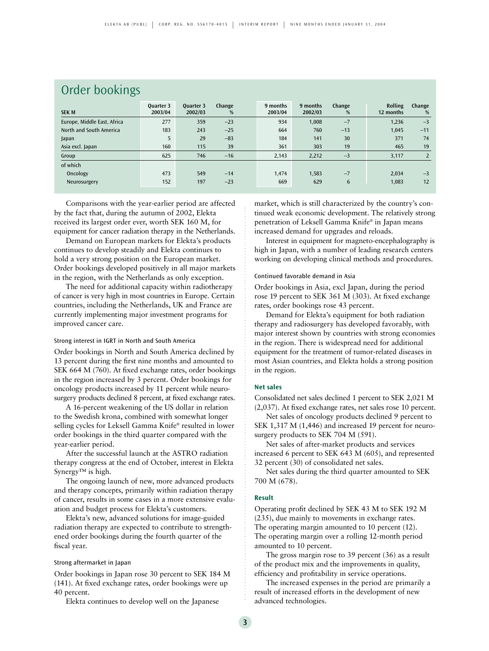| Order bookings              |                      |                             |             |                     |                     |                 |                             |                |  |
|-----------------------------|----------------------|-----------------------------|-------------|---------------------|---------------------|-----------------|-----------------------------|----------------|--|
| <b>SEK M</b>                | Quarter 3<br>2003/04 | <b>Ouarter 3</b><br>2002/03 | Change<br>% | 9 months<br>2003/04 | 9 months<br>2002/03 | Change<br>%     | <b>Rolling</b><br>12 months | Change<br>%    |  |
| Europe, Middle East, Africa | 277                  | 359                         | $-23$       | 934                 | 1,008               | $-7$            | 1,236                       | $-3$           |  |
| North and South America     | 183                  | 243                         | $-25$       | 664                 | 760                 | $-13$           | 1,045                       | $-11$          |  |
| Japan                       | 5                    | 29                          | $-83$       | 184                 | 141                 | 30              | 371                         | 74             |  |
| Asia excl. Japan            | 160                  | 115                         | 39          | 361                 | 303                 | 19              | 465                         | 19             |  |
| Group                       | 625                  | 746                         | $-16$       | 2,143               | 2,212               | $-3$            | 3,117                       | $\overline{2}$ |  |
| of which                    |                      |                             |             |                     |                     |                 |                             |                |  |
| Oncology                    | 473                  | 549                         | $-14$       | 1.474               | 1,583               | $-7$            | 2,034                       | $-3$           |  |
| Neurosurgery                | 152                  | 197                         | $-23$       | 669                 | 629                 | $6\phantom{.}6$ | 1,083                       | 12             |  |
|                             |                      |                             |             |                     |                     |                 |                             |                |  |

Comparisons with the year-earlier period are affected by the fact that, during the autumn of 2002, Elekta received its largest order ever, worth SEK 160 M, for equipment for cancer radiation therapy in the Netherlands.

Demand on European markets for Elekta's products continues to develop steadily and Elekta continues to hold a very strong position on the European market. Order bookings developed positively in all major markets in the region, with the Netherlands as only exception.

The need for additional capacity within radiotherapy of cancer is very high in most countries in Europe. Certain countries, including the Netherlands, UK and France are currently implementing major investment programs for improved cancer care.

### Strong interest in IGRT in North and South America

Order bookings in North and South America declined by 13 percent during the first nine months and amounted to SEK 664 M (760). At fixed exchange rates, order bookings in the region increased by 3 percent. Order bookings for oncology products increased by 11 percent while neurosurgery products declined 8 percent, at fixed exchange rates.

A 16-percent weakening of the US dollar in relation to the Swedish krona, combined with somewhat longer selling cycles for Leksell Gamma Knife® resulted in lower order bookings in the third quarter compared with the year-earlier period.

After the successful launch at the ASTRO radiation therapy congress at the end of October, interest in Elekta Synergy<sup>™</sup> is high.

The ongoing launch of new, more advanced products and therapy concepts, primarily within radiation therapy of cancer, results in some cases in a more extensive evaluation and budget process for Elekta's customers.

Elekta's new, advanced solutions for image-guided radiation therapy are expected to contribute to strengthened order bookings during the fourth quarter of the fiscal year.

### Strong aftermarket in Japan

Order bookings in Japan rose 30 percent to SEK 184 M (141). At fixed exchange rates, order bookings were up 40 percent.

Elekta continues to develop well on the Japanese

market, which is still characterized by the country's continued weak economic development. The relatively strong penetration of Leksell Gamma Knife® in Japan means increased demand for upgrades and reloads.

Interest in equipment for magneto-encephalography is high in Japan, with a number of leading research centers working on developing clinical methods and procedures.

### Continued favorable demand in Asia

Order bookings in Asia, excl Japan, during the period rose 19 percent to SEK 361 M (303). At fixed exchange rates, order bookings rose 43 percent.

Demand for Elekta's equipment for both radiation therapy and radiosurgery has developed favorably, with major interest shown by countries with strong economies in the region. There is widespread need for additional equipment for the treatment of tumor-related diseases in most Asian countries, and Elekta holds a strong position in the region.

### **Net sales**

Consolidated net sales declined 1 percent to SEK 2,021 M (2,037). At fixed exchange rates, net sales rose 10 percent.

Net sales of oncology products declined 9 percent to SEK 1,317 M (1,446) and increased 19 percent for neurosurgery products to SEK 704 M (591).

Net sales of after-market products and services increased 6 percent to SEK 643 M (605), and represented 32 percent (30) of consolidated net sales.

Net sales during the third quarter amounted to SEK 700 M (678).

#### **Result**

Operating profit declined by SEK 43 M to SEK 192 M (235), due mainly to movements in exchange rates. The operating margin amounted to 10 percent (12). The operating margin over a rolling 12-month period amounted to 10 percent.

The gross margin rose to 39 percent (36) as a result of the product mix and the improvements in quality, efficiency and profitability in service operations.

The increased expenses in the period are primarily a result of increased efforts in the development of new advanced technologies.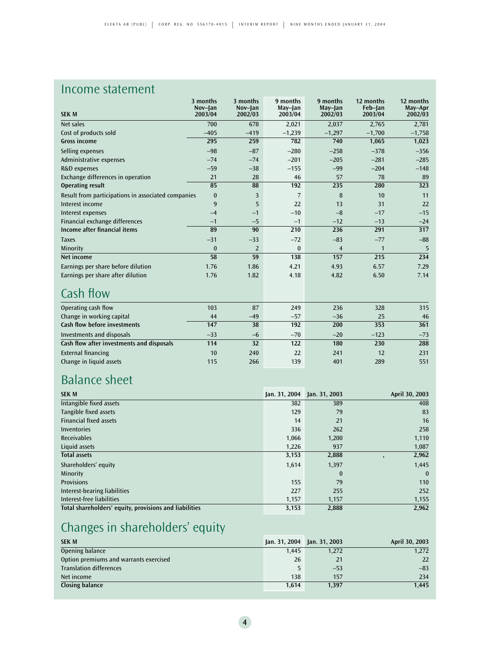### Income statement

| <b>SEK M</b>                                       | 3 months<br>Nov-Jan | 3 months<br>Nov-Jan | 9 months<br>May-Jan | 9 months<br>May-Jan | 12 months<br>Feb-Jan | 12 months<br>May-Apr |
|----------------------------------------------------|---------------------|---------------------|---------------------|---------------------|----------------------|----------------------|
|                                                    | 2003/04             | 2002/03             | 2003/04             | 2002/03             | 2003/04              | 2002/03              |
| Net sales                                          | 700                 | 678                 | 2,021               | 2,037               | 2.765                | 2,781                |
| Cost of products sold                              | $-405$              | $-419$              | $-1,239$            | $-1,297$            | $-1,700$             | $-1,758$             |
| <b>Gross income</b>                                | 295                 | 259                 | 782                 | 740                 | 1,065                | 1,023                |
| Selling expenses                                   | $-98$               | $-87$               | $-280$              | $-258$              | $-378$               | $-356$               |
| Administrative expenses                            | $-74$               | $-74$               | $-201$              | $-205$              | $-281$               | $-285$               |
| R&D expenses                                       | $-59$               | $-38$               | $-155$              | $-99$               | $-204$               | $-148$               |
| Exchange differences in operation                  | 21                  | 28                  | 46                  | 57                  | 78                   | 89                   |
| <b>Operating result</b>                            | 85                  | 88                  | 192                 | 235                 | 280                  | 323                  |
| Result from participations in associated companies | $\bf{0}$            | 3                   | 7                   | 8                   | 10                   | 11                   |
| Interest income                                    | 9                   | 5                   | 22                  | 13                  | 31                   | 22                   |
| Interest expenses                                  | $-4$                | $-1$                | $-10$               | $-8$                | $-17$                | $-15$                |
| Financial exchange differences                     | $-1$                | $-5$                | $-1$                | $-12$               | $-13$                | $-24$                |
| Income after financial items                       | 89                  | 90                  | 210                 | 236                 | 291                  | 317                  |
| <b>Taxes</b>                                       | $-31$               | $-33$               | $-72$               | $-83$               | $-77$                | $-88$                |
| Minority                                           | $\bf{0}$            | $\mathcal{P}$       | $\bf{0}$            | $\overline{4}$      | 1                    | 5                    |
| Net income                                         | 58                  | 59                  | 138                 | 157                 | 215                  | 234                  |
| Earnings per share before dilution                 | 1.76                | 1.86                | 4.21                | 4.93                | 6.57                 | 7.29                 |
| Earnings per share after dilution                  | 1.76                | 1.82                | 4.18                | 4.82                | 6.50                 | 7.14                 |
| Cash flow                                          |                     |                     |                     |                     |                      |                      |
| Operating cash flow                                | 103                 | 87                  | 249                 | 236                 | 328                  | 315                  |
| Change in working capital                          | 44                  | $-49$               | $-57$               | $-36$               | 25                   | 46                   |
| <b>Cash flow before investments</b>                | 147                 | 38                  | 192                 | 200                 | 353                  | 361                  |
| Investments and disposals                          | $-33$               | $-6$                | $-70$               | $-20$               | $-123$               | $-73$                |
| Cash flow after investments and disposals          | 114                 | 32                  | 122                 | 180                 | 230                  | 288                  |

### Balance sheet

| <b>SEK M</b>                                           | Jan. $31, 2004$ | Jan. 31, 2003 | April 30, 2003 |
|--------------------------------------------------------|-----------------|---------------|----------------|
| Intangible fixed assets                                | 382             | 389           | 408            |
| Tangible fixed assets                                  | 129             | 79            | 83             |
| <b>Financial fixed assets</b>                          | 14              | 21            | 16             |
| Inventories                                            | 336             | 262           | 258            |
| <b>Receivables</b>                                     | 1,066           | 1,200         | 1,110          |
| Liquid assets                                          | 1,226           | 937           | 1,087          |
| <b>Total assets</b>                                    | 3,153           | 2,888         | 2,962          |
| Shareholders' equity                                   | 1,614           | 1,397         | 1,445          |
| Minority                                               |                 | $\mathbf{0}$  | $\mathbf{0}$   |
| <b>Provisions</b>                                      | 155             | 79            | 110            |
| Interest-bearing liabilities                           | 227             | 255           | 252            |
| Interest-free liabilities                              | 1,157           | 1,157         | 1,155          |
| Total shareholders' equity, provisions and liabilities | 3,153           | 2,888         | 2,962          |

External financing 10 240 22 241 12 231<br>
Change in liquid assets 115 266 139 401 289 551 Change in liquid assets 115 115 266 139 401 289 551

### Changes in shareholders' equity

| <b>SEK M</b>                           | Jan. 31, 2004 Jan. 31, 2003 |       | April 30, 2003 |
|----------------------------------------|-----------------------------|-------|----------------|
| Opening balance                        | 1.445                       | 1,272 | 1,272          |
| Option premiums and warrants exercised | 26                          | 21    | 22             |
| <b>Translation differences</b>         | 5                           | $-53$ | $-83$          |
| Net income                             | 138                         | 157   | 234            |
| Closing balance                        | 1.614                       | 1,397 | 1.445          |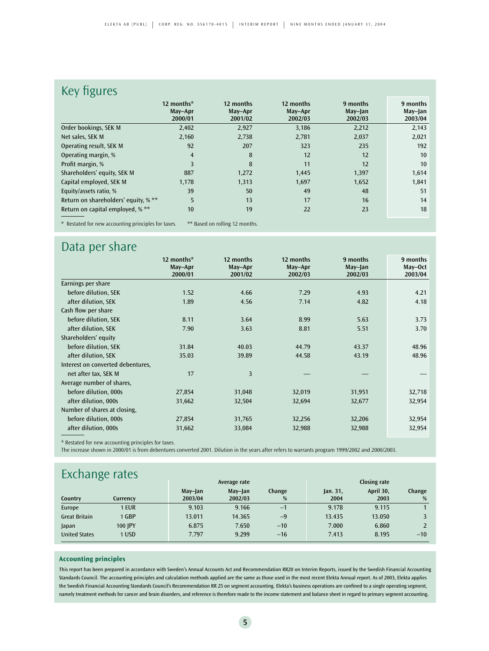### Key figures

|                                                    | 12 months*<br>May-Apr<br>2000/01 | 12 months<br>May-Apr<br>2001/02 | 12 months<br>May-Apr<br>2002/03 | 9 months<br>May-Jan<br>2002/03 | 9 months<br>May-Jan<br>2003/04 |
|----------------------------------------------------|----------------------------------|---------------------------------|---------------------------------|--------------------------------|--------------------------------|
| Order bookings, SEK M                              | 2,402                            | 2,927                           | 3,186                           | 2,212                          | 2,143                          |
| Net sales, SEK M                                   | 2,160                            | 2,738                           | 2,781                           | 2,037                          | 2,021                          |
| Operating result, SEK M                            | 92                               | 207                             | 323                             | 235                            | 192                            |
| Operating margin, %                                | $\overline{4}$                   | 8                               | 12                              | 12                             | 10                             |
| Profit margin, %                                   | 3                                | 8                               | 11                              | 12                             | 10                             |
| Shareholders' equity, SEK M                        | 887                              | 1,272                           | 1,445                           | 1,397                          | 1,614                          |
| Capital employed, SEK M                            | 1,178                            | 1,313                           | 1,697                           | 1,652                          | 1,841                          |
| Equity/assets ratio, %                             | 39                               | 50                              | 49                              | 48                             | 51                             |
| Return on shareholders' equity, % **               | 5                                | 13                              | 17                              | 16                             | 14                             |
| Return on capital employed, % **                   | 10                               | 19                              | 22                              | 23                             | 18                             |
| * Postated for now accounting principles for taxes |                                  | $**$ Pacod on rolling 12 months |                                 |                                |                                |

\* Restated for new accounting principles for taxes. \*\* Based on rolling 12 months.

### Data per share

|                                   | 12 months*<br>May-Apr | 12 months<br>May-Apr | 12 months<br>May-Apr | 9 months<br>May-Jan | 9 months<br>May-Oct |
|-----------------------------------|-----------------------|----------------------|----------------------|---------------------|---------------------|
|                                   | 2000/01               | 2001/02              | 2002/03              | 2002/03             | 2003/04             |
| Earnings per share                |                       |                      |                      |                     |                     |
| before dilution, SEK              | 1.52                  | 4.66                 | 7.29                 | 4.93                | 4.21                |
| after dilution, SEK               | 1.89                  | 4.56                 | 7.14                 | 4.82                | 4.18                |
| Cash flow per share               |                       |                      |                      |                     |                     |
| before dilution, SEK              | 8.11                  | 3.64                 | 8.99                 | 5.63                | 3.73                |
| after dilution, SEK               | 7.90                  | 3.63                 | 8.81                 | 5.51                | 3.70                |
| Shareholders' equity              |                       |                      |                      |                     |                     |
| before dilution, SEK              | 31.84                 | 40.03                | 44.79                | 43.37               | 48.96               |
| after dilution, SEK               | 35.03                 | 39.89                | 44.58                | 43.19               | 48.96               |
| Interest on converted debentures, |                       |                      |                      |                     |                     |
| net after tax, SEK M              | 17                    | 3                    |                      |                     |                     |
| Average number of shares,         |                       |                      |                      |                     |                     |
| before dilution, 000s             | 27,854                | 31,048               | 32,019               | 31,951              | 32,718              |
| after dilution, 000s              | 31,662                | 32,504               | 32,694               | 32,677              | 32,954              |
| Number of shares at closing,      |                       |                      |                      |                     |                     |
| before dilution, 000s             | 27,854                | 31,765               | 32,256               | 32,206              | 32,954              |
| after dilution, 000s              | 31,662                | 33,084               | 32,988               | 32,988              | 32,954              |
|                                   |                       |                      |                      |                     |                     |

\* Restated for new accounting principles for taxes.

The increase shown in 2000/01 is from debentures converted 2001. Dilution in the years after refers to warrants program 1999/2002 and 2000/2003.

### **Exchange rates**

|                      | ັ          |         | Average rate |        | Closing rate |           |        |  |
|----------------------|------------|---------|--------------|--------|--------------|-----------|--------|--|
|                      |            | May-Jan | May-Jan      | Change | jan.31,      | April 30, | Change |  |
| Country              | Currency   | 2003/04 | 2002/03      | %      | 2004         | 2003      | %      |  |
| Europe               | <b>EUR</b> | 9.103   | 9.166        | $-1$   | 9.178        | 9.115     |        |  |
| <b>Great Britain</b> | 1 GBP      | 13.011  | 14.365       | $-9$   | 13.435       | 13.050    |        |  |
| Japan                | 100 IPY    | 6.875   | 7.650        | $-10$  | 7.000        | 6.860     |        |  |
| <b>United States</b> | $1$ USD    | 7.797   | 9.299        | $-16$  | 7.413        | 8.195     | $-10$  |  |

### **Accounting principles**

This report has been prepared in accordance with Sweden's Annual Accounts Act and Recommendation RR20 on Interim Reports, issued by the Swedish Financial Accounting Standards Council. The accounting principles and calculation methods applied are the same as those used in the most recent Elekta Annual report. As of 2003, Elekta applies the Swedish Financial Accounting Standards Council's Recommendation RR 25 on segment accounting. Elekta's business operations are confined to a single operating segment, namely treatment methods for cancer and brain disorders, and reference is therefore made to the income statement and balance sheet in regard to primary segment accounting.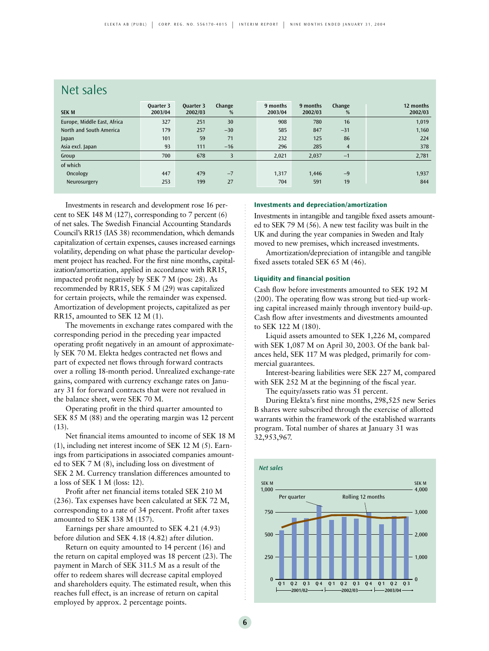### Net sales

| <b>SEK M</b>                | <b>Ouarter 3</b><br>2003/04 | <b>Ouarter 3</b><br>2002/03 | Change<br>% | 9 months<br>2003/04 | 9 months<br>2002/03 | Change<br>%    | 12 months<br>2002/03 |
|-----------------------------|-----------------------------|-----------------------------|-------------|---------------------|---------------------|----------------|----------------------|
| Europe, Middle East, Africa | 327                         | 251                         | 30          | 908                 | 780                 | 16             | 1,019                |
| North and South America     | 179                         | 257                         | $-30$       | 585                 | 847                 | $-31$          | 1,160                |
| Japan                       | 101                         | 59                          | 71          | 232                 | 125                 | 86             | 224                  |
| Asia excl. Japan            | 93                          | 111                         | $-16$       | 296                 | 285                 | $\overline{4}$ | 378                  |
| Group                       | 700                         | 678                         | 3           | 2.021               | 2,037               | $-1$           | 2,781                |
| of which                    |                             |                             |             |                     |                     |                |                      |
| Oncology                    | 447                         | 479                         | $-7$        | 1,317               | 1,446               | $-9$           | 1,937                |
| Neurosurgery                | 253                         | 199                         | 27          | 704                 | 591                 | 19             | 844                  |

Investments in research and development rose 16 percent to SEK 148 M (127), corresponding to 7 percent (6) of net sales. The Swedish Financial Accounting Standards Council's RR15 (IAS 38) recommendation, which demands capitalization of certain expenses, causes increased earnings volatility, depending on what phase the particular development project has reached. For the first nine months, capitalization/amortization, applied in accordance with RR15, impacted profit negatively by SEK 7 M (pos: 28). As recommended by RR15, SEK 5 M (29) was capitalized for certain projects, while the remainder was expensed. Amortization of development projects, capitalized as per RR15, amounted to SEK 12 M (1).

The movements in exchange rates compared with the corresponding period in the preceding year impacted operating profit negatively in an amount of approximately SEK 70 M. Elekta hedges contracted net flows and part of expected net flows through forward contracts over a rolling 18-month period. Unrealized exchange-rate gains, compared with currency exchange rates on January 31 for forward contracts that were not revalued in the balance sheet, were SEK 70 M.

Operating profit in the third quarter amounted to SEK 85 M (88) and the operating margin was 12 percent  $(13)$ .

Net financial items amounted to income of SEK 18 M (1), including net interest income of SEK 12 M (5). Earnings from participations in associated companies amounted to SEK 7 M (8), including loss on divestment of SEK 2 M. Currency translation differences amounted to a loss of SEK 1 M (loss: 12).

Profit after net financial items totaled SEK 210 M (236). Tax expenses have been calculated at SEK 72 M, corresponding to a rate of 34 percent. Profit after taxes amounted to SEK 138 M (157).

Earnings per share amounted to SEK 4.21 (4.93) before dilution and SEK 4.18 (4.82) after dilution.

Return on equity amounted to 14 percent (16) and the return on capital employed was 18 percent (23). The payment in March of SEK 311.5 M as a result of the offer to redeem shares will decrease capital employed and shareholders equity. The estimated result, when this reaches full effect, is an increase of return on capital employed by approx. 2 percentage points.

#### **Investments and depreciation/amortization**

Investments in intangible and tangible fixed assets amounted to SEK 79 M (56). A new test facility was built in the UK and during the year companies in Sweden and Italy moved to new premises, which increased investments.

Amortization/depreciation of intangible and tangible fixed assets totaled SEK 65 M (46).

#### **Liquidity and financial position**

Cash flow before investments amounted to SEK 192 M (200). The operating flow was strong but tied-up working capital increased mainly through inventory build-up. Cash flow after investments and divestments amounted to SEK 122 M (180).

Liquid assets amounted to SEK 1,226 M, compared with SEK 1,087 M on April 30, 2003. Of the bank balances held, SEK 117 M was pledged, primarily for commercial guarantees.

Interest-bearing liabilities were SEK 227 M, compared with SEK 252 M at the beginning of the fiscal year.

The equity/assets ratio was 51 percent.

During Elekta's first nine months, 298,525 new Series B shares were subscribed through the exercise of allotted warrants within the framework of the established warrants program. Total number of shares at January 31 was 32,953,967.